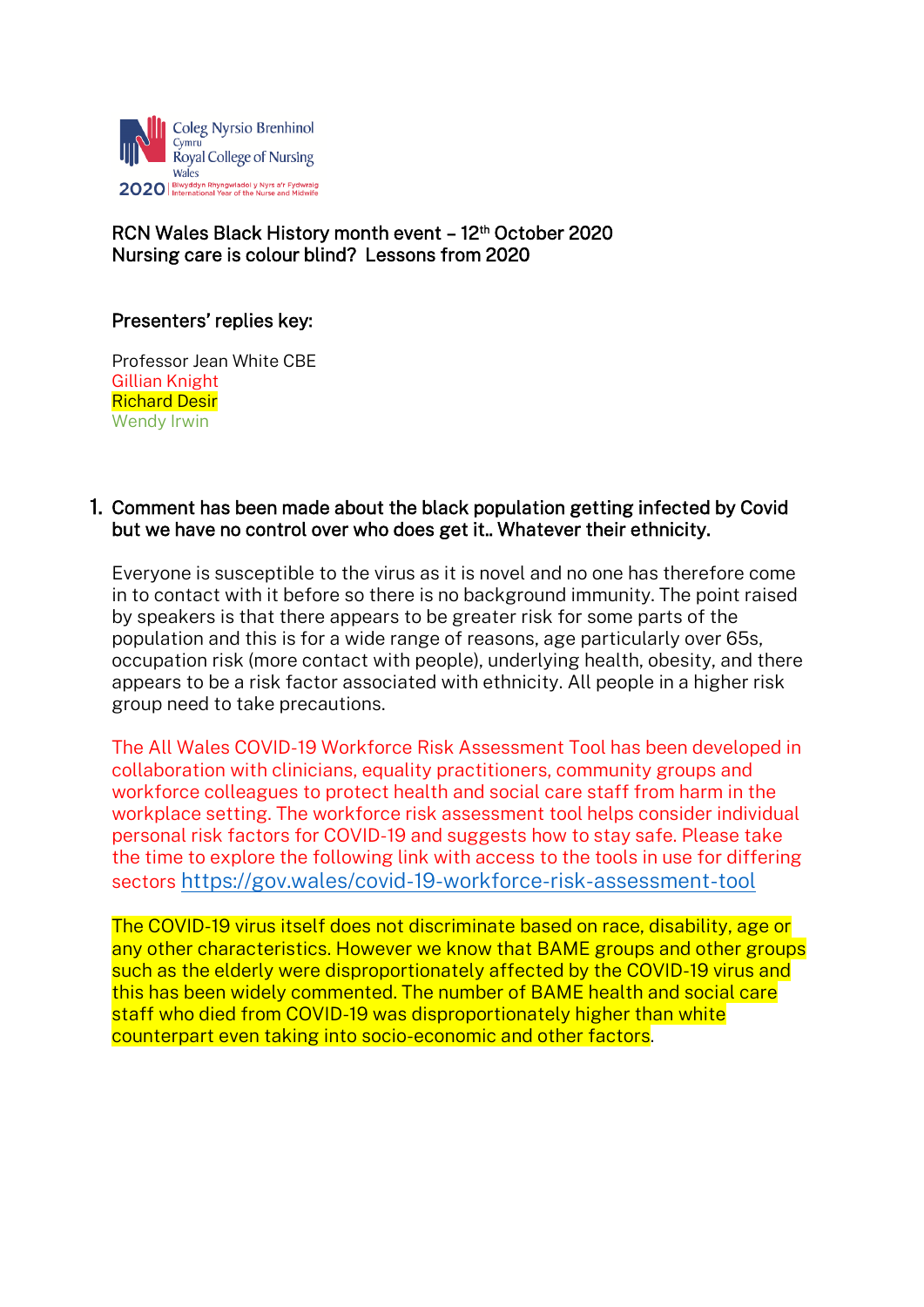

# RCN Wales Black History month event - 12<sup>th</sup> October 2020 Nursing care is colour blind? Lessons from 2020

## Presenters' replies key:

Professor Jean White CBE Gillian Knight Richard Desir Wendy Irwin

## 1. Comment has been made about the black population getting infected by Covid but we have no control over who does get it.. Whatever their ethnicity.

Everyone is susceptible to the virus as it is novel and no one has therefore come in to contact with it before so there is no background immunity. The point raised by speakers is that there appears to be greater risk for some parts of the population and this is for a wide range of reasons, age particularly over 65s, occupation risk (more contact with people), underlying health, obesity, and there appears to be a risk factor associated with ethnicity. All people in a higher risk group need to take precautions.

The All Wales COVID-19 Workforce Risk Assessment Tool has been developed in collaboration with clinicians, equality practitioners, community groups and workforce colleagues to protect health and social care staff from harm in the workplace setting. The workforce risk assessment tool helps consider individual personal risk factors for COVID-19 and suggests how to stay safe. Please take the time to explore the following link with access to the tools in use for differing sectors <https://gov.wales/covid-19-workforce-risk-assessment-tool>

The COVID-19 virus itself does not discriminate based on race, disability, age or any other characteristics. However we know that BAME groups and other groups such as the elderly were disproportionately affected by the COVID-19 virus and this has been widely commented. The number of BAME health and social care staff who died from COVID-19 was disproportionately higher than white counterpart even taking into socio-economic and other factors.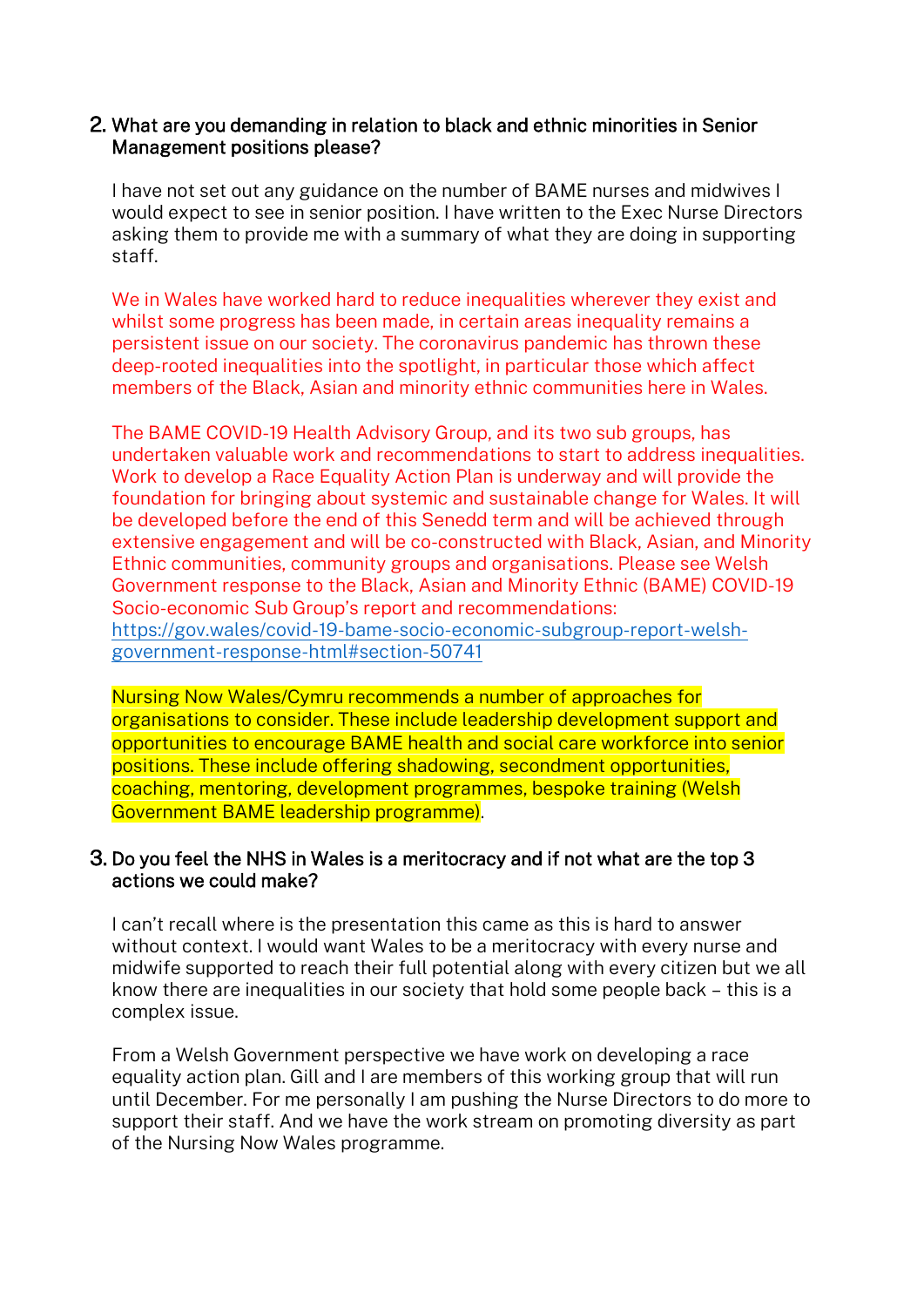## 2. What are you demanding in relation to black and ethnic minorities in Senior Management positions please?

I have not set out any guidance on the number of BAME nurses and midwives I would expect to see in senior position. I have written to the Exec Nurse Directors asking them to provide me with a summary of what they are doing in supporting staff.

We in Wales have worked hard to reduce inequalities wherever they exist and whilst some progress has been made, in certain areas inequality remains a persistent issue on our society. The coronavirus pandemic has thrown these deep-rooted inequalities into the spotlight, in particular those which affect members of the Black, Asian and minority ethnic communities here in Wales.

The BAME COVID-19 Health Advisory Group, and its two sub groups, has undertaken valuable work and recommendations to start to address inequalities. Work to develop a Race Equality Action Plan is underway and will provide the foundation for bringing about systemic and sustainable change for Wales. It will be developed before the end of this Senedd term and will be achieved through extensive engagement and will be co-constructed with Black, Asian, and Minority Ethnic communities, community groups and organisations. Please see Welsh Government response to the Black, Asian and Minority Ethnic (BAME) COVID-19 Socio-economic Sub Group's report and recommendations: [https://gov.wales/covid-19-bame-socio-economic-subgroup-report-welsh](https://gov.wales/covid-19-bame-socio-economic-subgroup-report-welsh-government-response-html#section-50741)[government-response-html#section-50741](https://gov.wales/covid-19-bame-socio-economic-subgroup-report-welsh-government-response-html#section-50741)

Nursing Now Wales/Cymru recommends a number of approaches for organisations to consider. These include leadership development support and opportunities to encourage BAME health and social care workforce into senior positions. These include offering shadowing, secondment opportunities, coaching, mentoring, development programmes, bespoke training (Welsh Government BAME leadership programme).

## 3. Do you feel the NHS in Wales is a meritocracy and if not what are the top 3 actions we could make?

I can't recall where is the presentation this came as this is hard to answer without context. I would want Wales to be a meritocracy with every nurse and midwife supported to reach their full potential along with every citizen but we all know there are inequalities in our society that hold some people back – this is a complex issue.

From a Welsh Government perspective we have work on developing a race equality action plan. Gill and I are members of this working group that will run until December. For me personally I am pushing the Nurse Directors to do more to support their staff. And we have the work stream on promoting diversity as part of the Nursing Now Wales programme.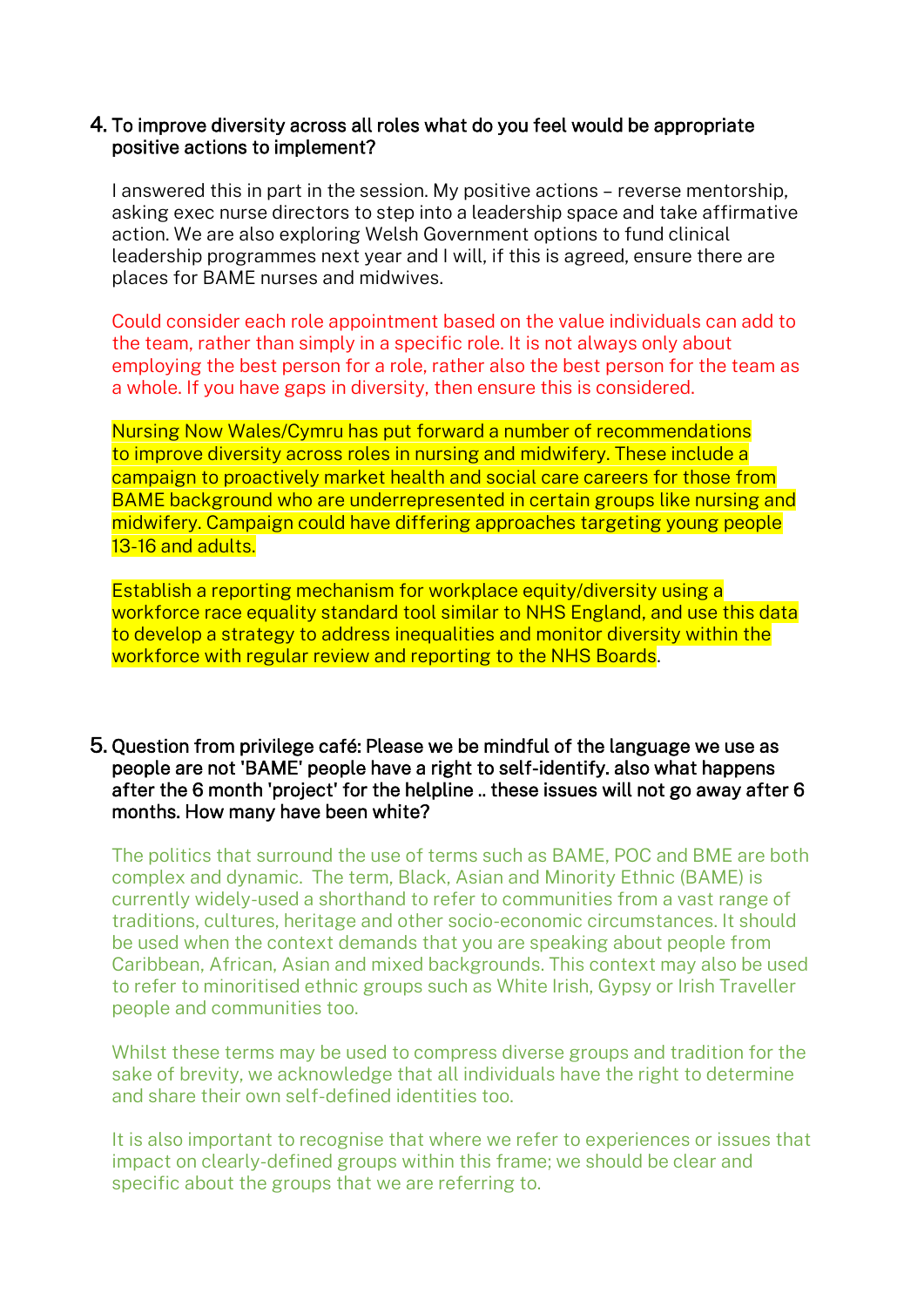## 4. To improve diversity across all roles what do you feel would be appropriate positive actions to implement?

I answered this in part in the session. My positive actions – reverse mentorship, asking exec nurse directors to step into a leadership space and take affirmative action. We are also exploring Welsh Government options to fund clinical leadership programmes next year and I will, if this is agreed, ensure there are places for BAME nurses and midwives.

Could consider each role appointment based on the value individuals can add to the team, rather than simply in a specific role. It is not always only about employing the best person for a role, rather also the best person for the team as a whole. If you have gaps in diversity, then ensure this is considered.

Nursing Now Wales/Cymru has put forward a number of recommendations to improve diversity across roles in nursing and midwifery. These include a campaign to proactively market health and social care careers for those from BAME background who are underrepresented in certain groups like nursing and midwifery. Campaign could have differing approaches targeting young people 13-16 and adults.

Establish a reporting mechanism for workplace equity/diversity using a workforce race equality standard tool similar to NHS England, and use this data to develop a strategy to address inequalities and monitor diversity within the workforce with regular review and reporting to the NHS Boards.

### 5. Question from privilege café: Please we be mindful of the language we use as people are not 'BAME' people have a right to self-identify. also what happens after the 6 month 'project' for the helpline .. these issues will not go away after 6 months. How many have been white?

The politics that surround the use of terms such as BAME, POC and BME are both complex and dynamic. The term, Black, Asian and Minority Ethnic (BAME) is currently widely-used a shorthand to refer to communities from a vast range of traditions, cultures, heritage and other socio-economic circumstances. It should be used when the context demands that you are speaking about people from Caribbean, African, Asian and mixed backgrounds. This context may also be used to refer to minoritised ethnic groups such as White Irish, Gypsy or Irish Traveller people and communities too.

Whilst these terms may be used to compress diverse groups and tradition for the sake of brevity, we acknowledge that all individuals have the right to determine and share their own self-defined identities too.

It is also important to recognise that where we refer to experiences or issues that impact on clearly-defined groups within this frame; we should be clear and specific about the groups that we are referring to.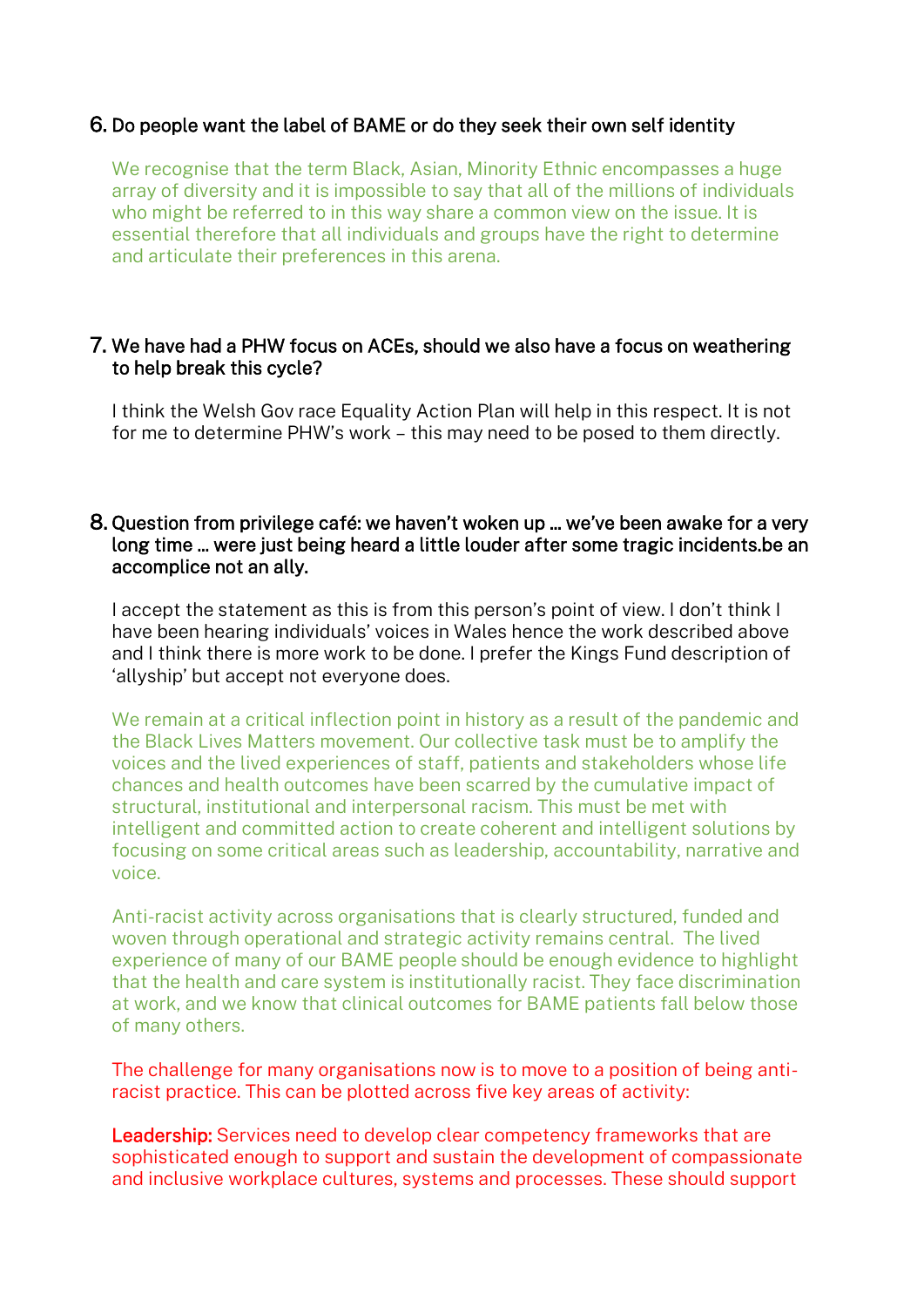# 6. Do people want the label of BAME or do they seek their own self identity

We recognise that the term Black, Asian, Minority Ethnic encompasses a huge array of diversity and it is impossible to say that all of the millions of individuals who might be referred to in this way share a common view on the issue. It is essential therefore that all individuals and groups have the right to determine and articulate their preferences in this arena.

## 7. We have had a PHW focus on ACEs, should we also have a focus on weathering to help break this cycle?

I think the Welsh Gov race Equality Action Plan will help in this respect. It is not for me to determine PHW's work – this may need to be posed to them directly.

### 8. Question from privilege café: we haven't woken up ... we've been awake for a very long time ... were just being heard a little louder after some tragic incidents.be an accomplice not an ally.

I accept the statement as this is from this person's point of view. I don't think I have been hearing individuals' voices in Wales hence the work described above and I think there is more work to be done. I prefer the Kings Fund description of 'allyship' but accept not everyone does.

We remain at a critical inflection point in history as a result of the pandemic and the Black Lives Matters movement. Our collective task must be to amplify the voices and the lived experiences of staff, patients and stakeholders whose life chances and health outcomes have been scarred by the cumulative impact of structural, institutional and interpersonal racism. This must be met with intelligent and committed action to create coherent and intelligent solutions by focusing on some critical areas such as leadership, accountability, narrative and voice.

Anti-racist activity across organisations that is clearly structured, funded and woven through operational and strategic activity remains central. The lived experience of many of our BAME people should be enough evidence to highlight that the health and care system is institutionally racist. They face discrimination at work, and we know that clinical outcomes for BAME patients fall below those of many others.  

The challenge for many organisations now is to move to a position of being antiracist practice. This can be plotted across five key areas of activity:

Leadership: Services need to develop clear competency frameworks that are sophisticated enough to support and sustain the development of compassionate and inclusive workplace cultures, systems and processes. These should support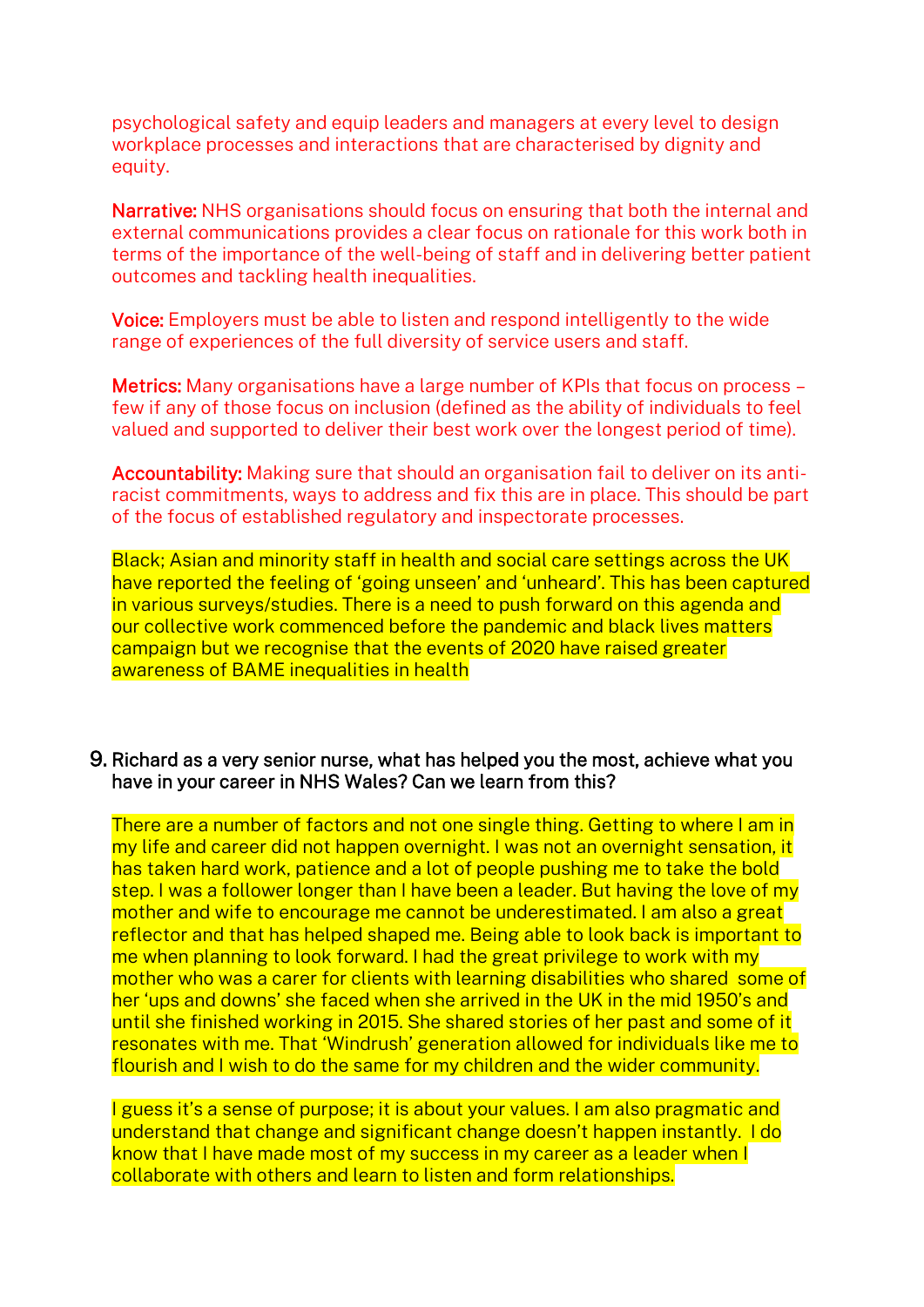psychological safety and equip leaders and managers at every level to design workplace processes and interactions that are characterised by dignity and equity.

Narrative: NHS organisations should focus on ensuring that both the internal and external communications provides a clear focus on rationale for this work both in terms of the importance of the well-being of staff and in delivering better patient outcomes and tackling health inequalities.

Voice: Employers must be able to listen and respond intelligently to the wide range of experiences of the full diversity of service users and staff.

Metrics: Many organisations have a large number of KPIs that focus on process – few if any of those focus on inclusion (defined as the ability of individuals to feel valued and supported to deliver their best work over the longest period of time).

Accountability: Making sure that should an organisation fail to deliver on its antiracist commitments, ways to address and fix this are in place. This should be part of the focus of established regulatory and inspectorate processes.

Black; Asian and minority staff in health and social care settings across the UK have reported the feeling of 'going unseen' and 'unheard'. This has been captured in various surveys/studies. There is a need to push forward on this agenda and our collective work commenced before the pandemic and black lives matters campaign but we recognise that the events of 2020 have raised greater awareness of BAME inequalities in health

### 9. Richard as a very senior nurse, what has helped you the most, achieve what you have in your career in NHS Wales? Can we learn from this?

There are a number of factors and not one single thing. Getting to where I am in my life and career did not happen overnight. I was not an overnight sensation, it has taken hard work, patience and a lot of people pushing me to take the bold step. I was a follower longer than I have been a leader. But having the love of my mother and wife to encourage me cannot be underestimated. I am also a great reflector and that has helped shaped me. Being able to look back is important to me when planning to look forward. I had the great privilege to work with my mother who was a carer for clients with learning disabilities who shared some of her 'ups and downs' she faced when she arrived in the UK in the mid 1950's and until she finished working in 2015. She shared stories of her past and some of it resonates with me. That 'Windrush' generation allowed for individuals like me to flourish and I wish to do the same for my children and the wider community.

I guess it's a sense of purpose; it is about your values. I am also pragmatic and understand that change and significant change doesn't happen instantly. I do know that I have made most of my success in my career as a leader when I collaborate with others and learn to listen and form relationships.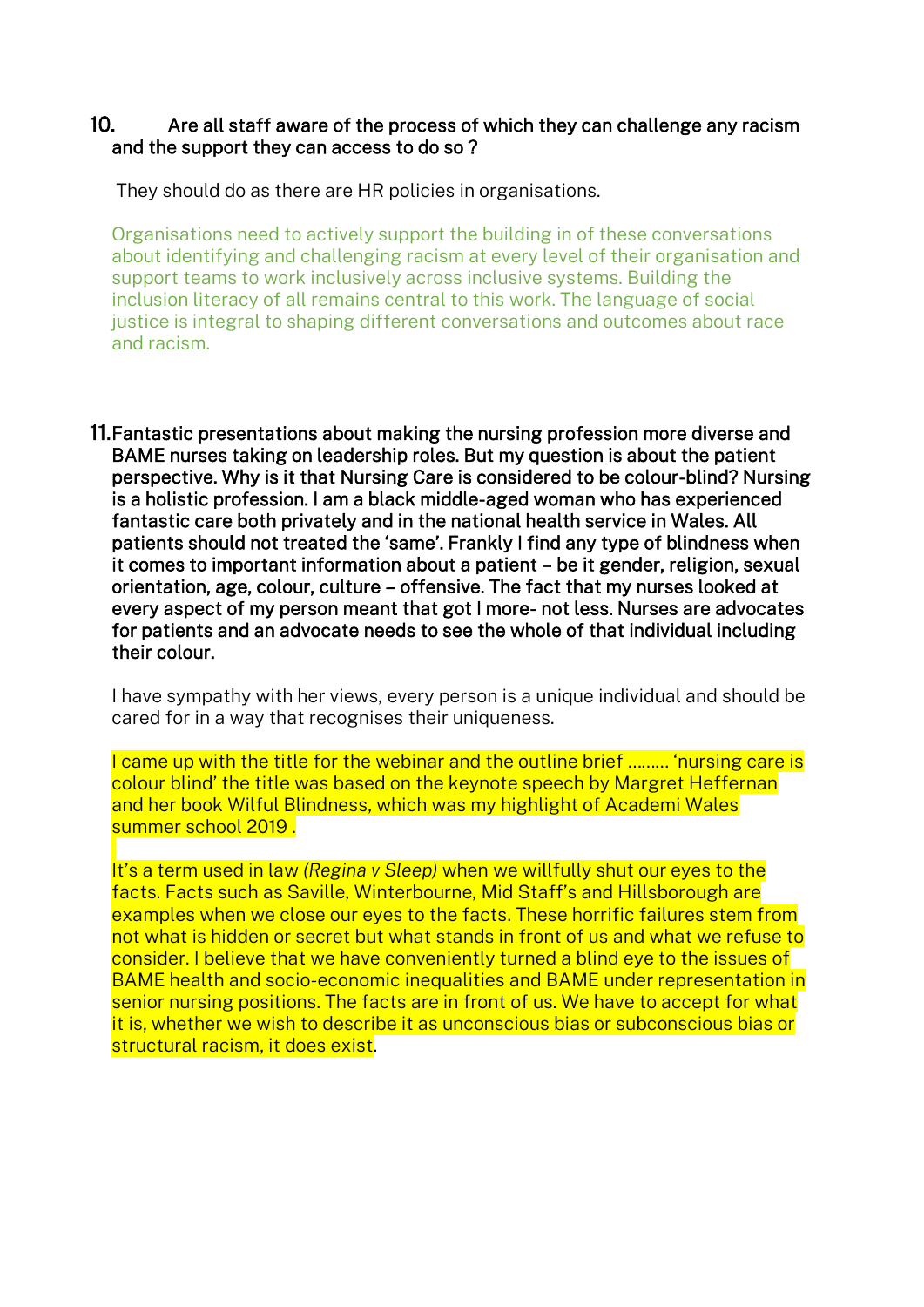## 10. Are all staff aware of the process of which they can challenge any racism and the support they can access to do so ?

They should do as there are HR policies in organisations.

Organisations need to actively support the building in of these conversations about identifying and challenging racism at every level of their organisation and support teams to work inclusively across inclusive systems. Building the inclusion literacy of all remains central to this work. The language of social justice is integral to shaping different conversations and outcomes about race and racism.

11.Fantastic presentations about making the nursing profession more diverse and BAME nurses taking on leadership roles. But my question is about the patient perspective. Why is it that Nursing Care is considered to be colour-blind? Nursing is a holistic profession. I am a black middle-aged woman who has experienced fantastic care both privately and in the national health service in Wales. All patients should not treated the 'same'. Frankly I find any type of blindness when it comes to important information about a patient – be it gender, religion, sexual orientation, age, colour, culture – offensive. The fact that my nurses looked at every aspect of my person meant that got I more- not less. Nurses are advocates for patients and an advocate needs to see the whole of that individual including their colour.

I have sympathy with her views, every person is a unique individual and should be cared for in a way that recognises their uniqueness.

I came up with the title for the webinar and the outline brief ……… 'nursing care is colour blind' the title was based on the keynote speech by Margret Heffernan and her book Wilful Blindness, which was my highlight of Academi Wales summer school 2019 .

It's a term used in law *(Regina v Sleep)* when we willfully shut our eyes to the facts. Facts such as Saville, Winterbourne, Mid Staff's and Hillsborough are examples when we close our eyes to the facts. These horrific failures stem from not what is hidden or secret but what stands in front of us and what we refuse to consider. I believe that we have conveniently turned a blind eye to the issues of BAME health and socio-economic inequalities and BAME under representation in senior nursing positions. The facts are in front of us. We have to accept for what it is, whether we wish to describe it as unconscious bias or subconscious bias or structural racism, it does exist.